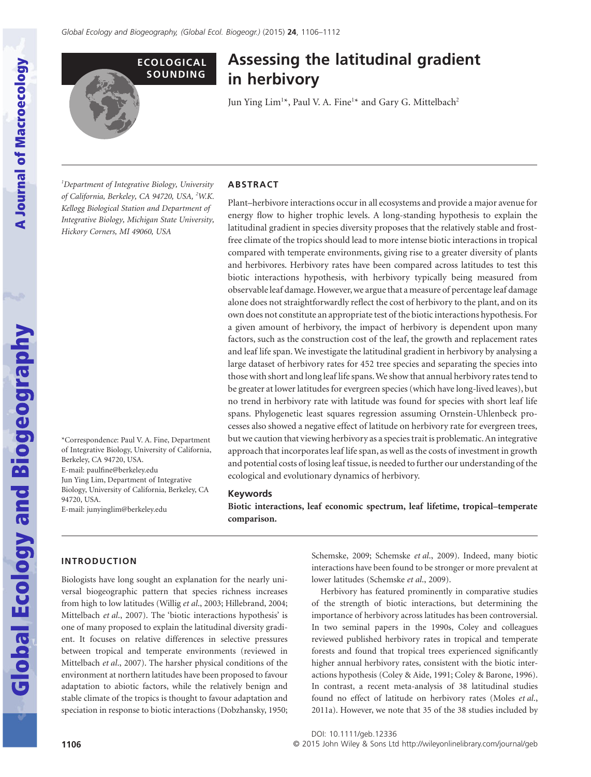

# **Assessing the latitudinal gradient in herbivory**

Jun Ying Lim<sup>1</sup>\*, Paul V. A. Fine<sup>1</sup>\* and Gary G. Mittelbach<sup>2</sup>

*1 Department of Integrative Biology, University of California, Berkeley, CA 94720, USA, <sup>2</sup> W.K. Kellogg Biological Station and Department of Integrative Biology, Michigan State University, Hickory Corners, MI 49060, USA*

\*Correspondence: Paul V. A. Fine, Department of Integrative Biology, University of California, Berkeley, CA 94720, USA. E-mail: paulfine@berkeley.edu Jun Ying Lim, Department of Integrative Biology, University of California, Berkeley, CA 94720, USA. E-mail: junyinglim@berkeley.edu

# **ABSTRACT**

Plant–herbivore interactions occur in all ecosystems and provide a major avenue for energy flow to higher trophic levels. A long-standing hypothesis to explain the latitudinal gradient in species diversity proposes that the relatively stable and frostfree climate of the tropics should lead to more intense biotic interactions in tropical compared with temperate environments, giving rise to a greater diversity of plants and herbivores. Herbivory rates have been compared across latitudes to test this biotic interactions hypothesis, with herbivory typically being measured from observable leaf damage. However, we argue that a measure of percentage leaf damage alone does not straightforwardly reflect the cost of herbivory to the plant, and on its own does not constitute an appropriate test of the biotic interactions hypothesis. For a given amount of herbivory, the impact of herbivory is dependent upon many factors, such as the construction cost of the leaf, the growth and replacement rates and leaf life span. We investigate the latitudinal gradient in herbivory by analysing a large dataset of herbivory rates for 452 tree species and separating the species into those with short and long leaf life spans.We show that annual herbivory rates tend to be greater at lower latitudes for evergreen species (which have long-lived leaves), but no trend in herbivory rate with latitude was found for species with short leaf life spans. Phylogenetic least squares regression assuming Ornstein-Uhlenbeck processes also showed a negative effect of latitude on herbivory rate for evergreen trees, but we caution that viewing herbivory as a species trait is problematic.An integrative approach that incorporates leaf life span, as well as the costs of investment in growth and potential costs of losing leaf tissue, is needed to further our understanding of the ecological and evolutionary dynamics of herbivory.

#### **Keywords**

**Biotic interactions, leaf economic spectrum, leaf lifetime, tropical–temperate comparison.**

### **INTRODUCTION**

Biologists have long sought an explanation for the nearly universal biogeographic pattern that species richness increases from high to low latitudes (Willig *et al*., 2003; Hillebrand, 2004; Mittelbach *et al*., 2007). The 'biotic interactions hypothesis' is one of many proposed to explain the latitudinal diversity gradient. It focuses on relative differences in selective pressures between tropical and temperate environments (reviewed in Mittelbach *et al*., 2007). The harsher physical conditions of the environment at northern latitudes have been proposed to favour adaptation to abiotic factors, while the relatively benign and stable climate of the tropics is thought to favour adaptation and speciation in response to biotic interactions (Dobzhansky, 1950; Schemske, 2009; Schemske *et al*., 2009). Indeed, many biotic interactions have been found to be stronger or more prevalent at lower latitudes (Schemske *et al*., 2009).

Herbivory has featured prominently in comparative studies of the strength of biotic interactions, but determining the importance of herbivory across latitudes has been controversial. In two seminal papers in the 1990s, Coley and colleagues reviewed published herbivory rates in tropical and temperate forests and found that tropical trees experienced significantly higher annual herbivory rates, consistent with the biotic interactions hypothesis (Coley & Aide, 1991; Coley & Barone, 1996). In contrast, a recent meta-analysis of 38 latitudinal studies found no effect of latitude on herbivory rates (Moles *et al*., 2011a). However, we note that 35 of the 38 studies included by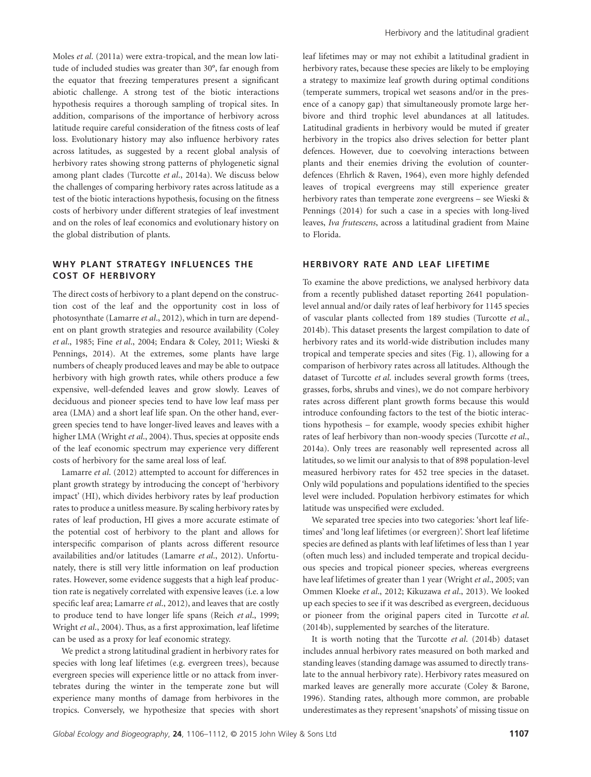Moles *et al*. (2011a) were extra-tropical, and the mean low latitude of included studies was greater than 30°, far enough from the equator that freezing temperatures present a significant abiotic challenge. A strong test of the biotic interactions hypothesis requires a thorough sampling of tropical sites. In addition, comparisons of the importance of herbivory across latitude require careful consideration of the fitness costs of leaf loss. Evolutionary history may also influence herbivory rates across latitudes, as suggested by a recent global analysis of herbivory rates showing strong patterns of phylogenetic signal among plant clades (Turcotte *et al*., 2014a). We discuss below the challenges of comparing herbivory rates across latitude as a test of the biotic interactions hypothesis, focusing on the fitness costs of herbivory under different strategies of leaf investment and on the roles of leaf economics and evolutionary history on the global distribution of plants.

## **WHY PLANT STRATEGY INFLUENCES THE COST OF HERBIVORY**

The direct costs of herbivory to a plant depend on the construction cost of the leaf and the opportunity cost in loss of photosynthate (Lamarre *et al*., 2012), which in turn are dependent on plant growth strategies and resource availability (Coley *et al*., 1985; Fine *et al*., 2004; Endara & Coley, 2011; Wieski & Pennings, 2014). At the extremes, some plants have large numbers of cheaply produced leaves and may be able to outpace herbivory with high growth rates, while others produce a few expensive, well-defended leaves and grow slowly. Leaves of deciduous and pioneer species tend to have low leaf mass per area (LMA) and a short leaf life span. On the other hand, evergreen species tend to have longer-lived leaves and leaves with a higher LMA (Wright *et al*., 2004). Thus, species at opposite ends of the leaf economic spectrum may experience very different costs of herbivory for the same areal loss of leaf.

Lamarre *et al*. (2012) attempted to account for differences in plant growth strategy by introducing the concept of 'herbivory impact' (HI), which divides herbivory rates by leaf production rates to produce a unitless measure. By scaling herbivory rates by rates of leaf production, HI gives a more accurate estimate of the potential cost of herbivory to the plant and allows for interspecific comparison of plants across different resource availabilities and/or latitudes (Lamarre *et al*., 2012). Unfortunately, there is still very little information on leaf production rates. However, some evidence suggests that a high leaf production rate is negatively correlated with expensive leaves (i.e. a low specific leaf area; Lamarre *et al*., 2012), and leaves that are costly to produce tend to have longer life spans (Reich *et al*., 1999; Wright *et al*., 2004). Thus, as a first approximation, leaf lifetime can be used as a proxy for leaf economic strategy.

We predict a strong latitudinal gradient in herbivory rates for species with long leaf lifetimes (e.g. evergreen trees), because evergreen species will experience little or no attack from invertebrates during the winter in the temperate zone but will experience many months of damage from herbivores in the tropics. Conversely, we hypothesize that species with short leaf lifetimes may or may not exhibit a latitudinal gradient in herbivory rates, because these species are likely to be employing a strategy to maximize leaf growth during optimal conditions (temperate summers, tropical wet seasons and/or in the presence of a canopy gap) that simultaneously promote large herbivore and third trophic level abundances at all latitudes. Latitudinal gradients in herbivory would be muted if greater herbivory in the tropics also drives selection for better plant defences. However, due to coevolving interactions between plants and their enemies driving the evolution of counterdefences (Ehrlich & Raven, 1964), even more highly defended leaves of tropical evergreens may still experience greater herbivory rates than temperate zone evergreens – see Wieski & Pennings (2014) for such a case in a species with long-lived leaves, *Iva frutescens*, across a latitudinal gradient from Maine to Florida.

## **HERBIVORY RATE AND LEAF LIFETIME**

To examine the above predictions, we analysed herbivory data from a recently published dataset reporting 2641 populationlevel annual and/or daily rates of leaf herbivory for 1145 species of vascular plants collected from 189 studies (Turcotte *et al*., 2014b). This dataset presents the largest compilation to date of herbivory rates and its world-wide distribution includes many tropical and temperate species and sites (Fig. 1), allowing for a comparison of herbivory rates across all latitudes. Although the dataset of Turcotte *et al*. includes several growth forms (trees, grasses, forbs, shrubs and vines), we do not compare herbivory rates across different plant growth forms because this would introduce confounding factors to the test of the biotic interactions hypothesis – for example, woody species exhibit higher rates of leaf herbivory than non-woody species (Turcotte *et al*., 2014a). Only trees are reasonably well represented across all latitudes, so we limit our analysis to that of 898 population-level measured herbivory rates for 452 tree species in the dataset. Only wild populations and populations identified to the species level were included. Population herbivory estimates for which latitude was unspecified were excluded.

We separated tree species into two categories: 'short leaf lifetimes' and 'long leaf lifetimes (or evergreen)'. Short leaf lifetime species are defined as plants with leaf lifetimes of less than 1 year (often much less) and included temperate and tropical deciduous species and tropical pioneer species, whereas evergreens have leaf lifetimes of greater than 1 year (Wright *et al*., 2005; van Ommen Kloeke *et al*., 2012; Kikuzawa *et al*., 2013). We looked up each species to see if it was described as evergreen, deciduous or pioneer from the original papers cited in Turcotte *et al*. (2014b), supplemented by searches of the literature.

It is worth noting that the Turcotte *et al*. (2014b) dataset includes annual herbivory rates measured on both marked and standing leaves (standing damage was assumed to directly translate to the annual herbivory rate). Herbivory rates measured on marked leaves are generally more accurate (Coley & Barone, 1996). Standing rates, although more common, are probable underestimates as they represent 'snapshots' of missing tissue on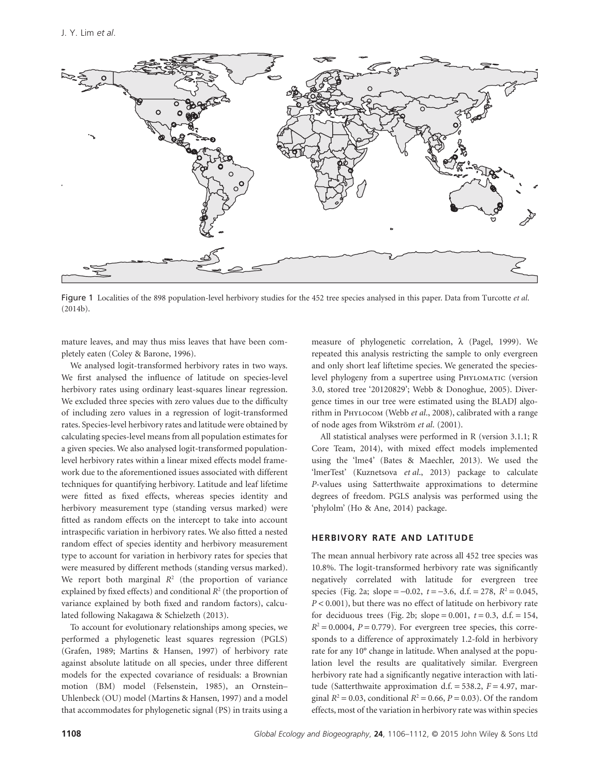

Figure 1 Localities of the 898 population-level herbivory studies for the 452 tree species analysed in this paper. Data from Turcotte *et al*. (2014b).

mature leaves, and may thus miss leaves that have been completely eaten (Coley & Barone, 1996).

We analysed logit-transformed herbivory rates in two ways. We first analysed the influence of latitude on species-level herbivory rates using ordinary least-squares linear regression. We excluded three species with zero values due to the difficulty of including zero values in a regression of logit-transformed rates. Species-level herbivory rates and latitude were obtained by calculating species-level means from all population estimates for a given species. We also analysed logit-transformed populationlevel herbivory rates within a linear mixed effects model framework due to the aforementioned issues associated with different techniques for quantifying herbivory. Latitude and leaf lifetime were fitted as fixed effects, whereas species identity and herbivory measurement type (standing versus marked) were fitted as random effects on the intercept to take into account intraspecific variation in herbivory rates. We also fitted a nested random effect of species identity and herbivory measurement type to account for variation in herbivory rates for species that were measured by different methods (standing versus marked). We report both marginal  $R^2$  (the proportion of variance explained by fixed effects) and conditional *R*<sup>2</sup> (the proportion of variance explained by both fixed and random factors), calculated following Nakagawa & Schielzeth (2013).

To account for evolutionary relationships among species, we performed a phylogenetic least squares regression (PGLS) (Grafen, 1989; Martins & Hansen, 1997) of herbivory rate against absolute latitude on all species, under three different models for the expected covariance of residuals: a Brownian motion (BM) model (Felsenstein, 1985), an Ornstein– Uhlenbeck (OU) model (Martins & Hansen, 1997) and a model that accommodates for phylogenetic signal (PS) in traits using a measure of phylogenetic correlation,  $\lambda$  (Pagel, 1999). We repeated this analysis restricting the sample to only evergreen and only short leaf liftetime species. We generated the specieslevel phylogeny from a supertree using Phylomatic (version 3.0, stored tree '20120829'; Webb & Donoghue, 2005). Divergence times in our tree were estimated using the BLADJ algorithm in Phylocom (Webb *et al*., 2008), calibrated with a range of node ages from Wikström *et al*. (2001).

All statistical analyses were performed in R (version 3.1.1; R Core Team, 2014), with mixed effect models implemented using the 'lme4' (Bates & Maechler, 2013). We used the 'lmerTest' (Kuznetsova *et al*., 2013) package to calculate *P*-values using Satterthwaite approximations to determine degrees of freedom. PGLS analysis was performed using the 'phylolm' (Ho & Ane, 2014) package.

## **HERBIVORY RATE AND LATITUDE**

The mean annual herbivory rate across all 452 tree species was 10.8%. The logit-transformed herbivory rate was significantly negatively correlated with latitude for evergreen tree species (Fig. 2a; slope = −0.02, *t* = −3.6, d.f. = 278, *R*<sup>2</sup> = 0.045, *P* < 0.001), but there was no effect of latitude on herbivory rate for deciduous trees (Fig. 2b; slope = 0.001,  $t = 0.3$ , d.f. = 154,  $R^2 = 0.0004$ ,  $P = 0.779$ ). For evergreen tree species, this corresponds to a difference of approximately 1.2-fold in herbivory rate for any 10° change in latitude. When analysed at the population level the results are qualitatively similar. Evergreen herbivory rate had a significantly negative interaction with latitude (Satterthwaite approximation d.f.  $=$  538.2,  $F = 4.97$ , marginal  $R^2 = 0.03$ , conditional  $R^2 = 0.66$ ,  $P = 0.03$ ). Of the random effects, most of the variation in herbivory rate was within species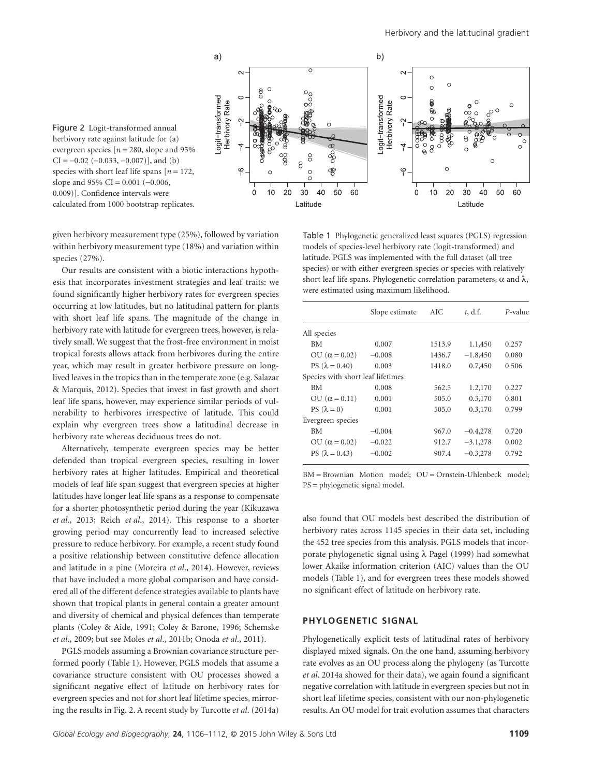

Figure 2 Logit-transformed annual herbivory rate against latitude for (a) evergreen species  $[n = 280,$  slope and 95%  $CI = -0.02$  ( $-0.033$ ,  $-0.007$ )], and (b) species with short leaf life spans  $[n = 172]$ , slope and 95% CI = 0.001 (−0.006, 0.009)]. Confidence intervals were calculated from 1000 bootstrap replicates.

given herbivory measurement type (25%), followed by variation within herbivory measurement type (18%) and variation within species (27%).

Our results are consistent with a biotic interactions hypothesis that incorporates investment strategies and leaf traits: we found significantly higher herbivory rates for evergreen species occurring at low latitudes, but no latitudinal pattern for plants with short leaf life spans. The magnitude of the change in herbivory rate with latitude for evergreen trees, however, is relatively small. We suggest that the frost-free environment in moist tropical forests allows attack from herbivores during the entire year, which may result in greater herbivore pressure on longlived leaves in the tropics than in the temperate zone (e.g. Salazar & Marquis, 2012). Species that invest in fast growth and short leaf life spans, however, may experience similar periods of vulnerability to herbivores irrespective of latitude. This could explain why evergreen trees show a latitudinal decrease in herbivory rate whereas deciduous trees do not.

Alternatively, temperate evergreen species may be better defended than tropical evergreen species, resulting in lower herbivory rates at higher latitudes. Empirical and theoretical models of leaf life span suggest that evergreen species at higher latitudes have longer leaf life spans as a response to compensate for a shorter photosynthetic period during the year (Kikuzawa *et al*., 2013; Reich *et al*., 2014). This response to a shorter growing period may concurrently lead to increased selective pressure to reduce herbivory. For example, a recent study found a positive relationship between constitutive defence allocation and latitude in a pine (Moreira *et al*., 2014). However, reviews that have included a more global comparison and have considered all of the different defence strategies available to plants have shown that tropical plants in general contain a greater amount and diversity of chemical and physical defences than temperate plants (Coley & Aide, 1991; Coley & Barone, 1996; Schemske *et al*., 2009; but see Moles *et al*., 2011b; Onoda *et al*., 2011).

PGLS models assuming a Brownian covariance structure performed poorly (Table 1). However, PGLS models that assume a covariance structure consistent with OU processes showed a significant negative effect of latitude on herbivory rates for evergreen species and not for short leaf lifetime species, mirroring the results in Fig. 2. A recent study by Turcotte *et al*. (2014a)

Table 1 Phylogenetic generalized least squares (PGLS) regression models of species-level herbivory rate (logit-transformed) and latitude. PGLS was implemented with the full dataset (all tree species) or with either evergreen species or species with relatively short leaf life spans. Phylogenetic correlation parameters,  $\alpha$  and  $\lambda$ , were estimated using maximum likelihood.

|                                   | Slope estimate | AIC.   | $t$ , d.f. | $P-value$ |
|-----------------------------------|----------------|--------|------------|-----------|
| All species                       |                |        |            |           |
| BM                                | 0.007          | 1513.9 | 1.1,450    | 0.257     |
| OU $(\alpha = 0.02)$              | $-0.008$       | 1436.7 | $-1.8,450$ | 0.080     |
| PS $(\lambda = 0.40)$             | 0.003          | 1418.0 | 0.7,450    | 0.506     |
| Species with short leaf lifetimes |                |        |            |           |
| <b>BM</b>                         | 0.008          | 562.5  | 1.2,170    | 0.227     |
| $OU (\alpha = 0.11)$              | 0.001          | 505.0  | 0.3,170    | 0.801     |
| PS $(\lambda = 0)$                | 0.001          | 505.0  | 0.3,170    | 0.799     |
| Evergreen species                 |                |        |            |           |
| BM                                | $-0.004$       | 967.0  | $-0.4,278$ | 0.720     |
| OU $(\alpha = 0.02)$              | $-0.022$       | 912.7  | $-3.1,278$ | 0.002     |
| PS $(\lambda = 0.43)$             | $-0.002$       | 907.4  | $-0.3,278$ | 0.792     |

BM = Brownian Motion model; OU = Ornstein-Uhlenbeck model; PS = phylogenetic signal model.

also found that OU models best described the distribution of herbivory rates across 1145 species in their data set, including the 452 tree species from this analysis. PGLS models that incorporate phylogenetic signal using λ Pagel (1999) had somewhat lower Akaike information criterion (AIC) values than the OU models (Table 1), and for evergreen trees these models showed no significant effect of latitude on herbivory rate.

## **PHYLOGENETIC SIGNAL**

Phylogenetically explicit tests of latitudinal rates of herbivory displayed mixed signals. On the one hand, assuming herbivory rate evolves as an OU process along the phylogeny (as Turcotte *et al*. 2014a showed for their data), we again found a significant negative correlation with latitude in evergreen species but not in short leaf lifetime species, consistent with our non-phylogenetic results. An OU model for trait evolution assumes that characters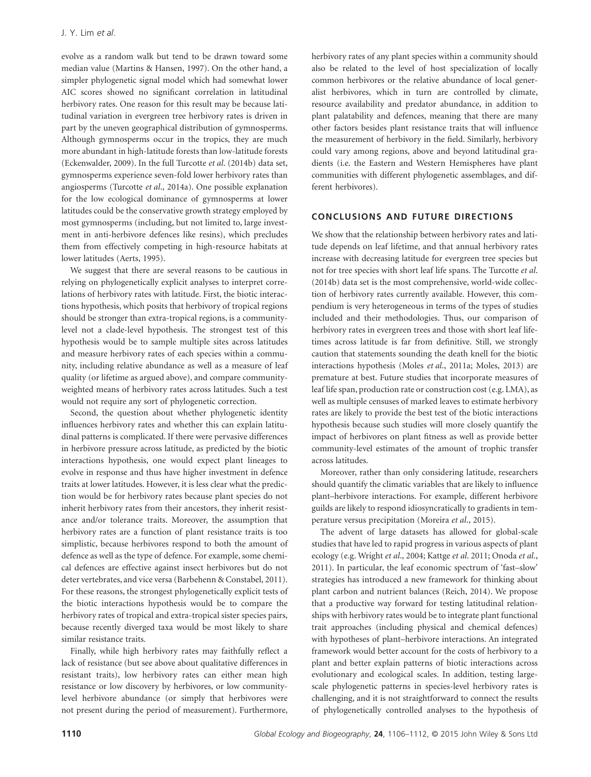evolve as a random walk but tend to be drawn toward some median value (Martins & Hansen, 1997). On the other hand, a simpler phylogenetic signal model which had somewhat lower AIC scores showed no significant correlation in latitudinal herbivory rates. One reason for this result may be because latitudinal variation in evergreen tree herbivory rates is driven in part by the uneven geographical distribution of gymnosperms. Although gymnosperms occur in the tropics, they are much more abundant in high-latitude forests than low-latitude forests (Eckenwalder, 2009). In the full Turcotte *et al*. (2014b) data set, gymnosperms experience seven-fold lower herbivory rates than angiosperms (Turcotte *et al*., 2014a). One possible explanation for the low ecological dominance of gymnosperms at lower latitudes could be the conservative growth strategy employed by most gymnosperms (including, but not limited to, large investment in anti-herbivore defences like resins), which precludes them from effectively competing in high-resource habitats at lower latitudes (Aerts, 1995).

We suggest that there are several reasons to be cautious in relying on phylogenetically explicit analyses to interpret correlations of herbivory rates with latitude. First, the biotic interactions hypothesis, which posits that herbivory of tropical regions should be stronger than extra-tropical regions, is a communitylevel not a clade-level hypothesis. The strongest test of this hypothesis would be to sample multiple sites across latitudes and measure herbivory rates of each species within a community, including relative abundance as well as a measure of leaf quality (or lifetime as argued above), and compare communityweighted means of herbivory rates across latitudes. Such a test would not require any sort of phylogenetic correction.

Second, the question about whether phylogenetic identity influences herbivory rates and whether this can explain latitudinal patterns is complicated. If there were pervasive differences in herbivore pressure across latitude, as predicted by the biotic interactions hypothesis, one would expect plant lineages to evolve in response and thus have higher investment in defence traits at lower latitudes. However, it is less clear what the prediction would be for herbivory rates because plant species do not inherit herbivory rates from their ancestors, they inherit resistance and/or tolerance traits. Moreover, the assumption that herbivory rates are a function of plant resistance traits is too simplistic, because herbivores respond to both the amount of defence as well as the type of defence. For example, some chemical defences are effective against insect herbivores but do not deter vertebrates, and vice versa (Barbehenn & Constabel, 2011). For these reasons, the strongest phylogenetically explicit tests of the biotic interactions hypothesis would be to compare the herbivory rates of tropical and extra-tropical sister species pairs, because recently diverged taxa would be most likely to share similar resistance traits.

Finally, while high herbivory rates may faithfully reflect a lack of resistance (but see above about qualitative differences in resistant traits), low herbivory rates can either mean high resistance or low discovery by herbivores, or low communitylevel herbivore abundance (or simply that herbivores were not present during the period of measurement). Furthermore, herbivory rates of any plant species within a community should also be related to the level of host specialization of locally common herbivores or the relative abundance of local generalist herbivores, which in turn are controlled by climate, resource availability and predator abundance, in addition to plant palatability and defences, meaning that there are many other factors besides plant resistance traits that will influence the measurement of herbivory in the field. Similarly, herbivory could vary among regions, above and beyond latitudinal gradients (i.e. the Eastern and Western Hemispheres have plant communities with different phylogenetic assemblages, and different herbivores).

#### **CONCLUSIONS AND FUTURE DIRECTIONS**

We show that the relationship between herbivory rates and latitude depends on leaf lifetime, and that annual herbivory rates increase with decreasing latitude for evergreen tree species but not for tree species with short leaf life spans. The Turcotte *et al*. (2014b) data set is the most comprehensive, world-wide collection of herbivory rates currently available. However, this compendium is very heterogeneous in terms of the types of studies included and their methodologies. Thus, our comparison of herbivory rates in evergreen trees and those with short leaf lifetimes across latitude is far from definitive. Still, we strongly caution that statements sounding the death knell for the biotic interactions hypothesis (Moles *et al*., 2011a; Moles, 2013) are premature at best. Future studies that incorporate measures of leaf life span, production rate or construction cost (e.g. LMA), as well as multiple censuses of marked leaves to estimate herbivory rates are likely to provide the best test of the biotic interactions hypothesis because such studies will more closely quantify the impact of herbivores on plant fitness as well as provide better community-level estimates of the amount of trophic transfer across latitudes.

Moreover, rather than only considering latitude, researchers should quantify the climatic variables that are likely to influence plant–herbivore interactions. For example, different herbivore guilds are likely to respond idiosyncratically to gradients in temperature versus precipitation (Moreira *et al*., 2015).

The advent of large datasets has allowed for global-scale studies that have led to rapid progress in various aspects of plant ecology (e.g. Wright *et al*., 2004; Kattge *et al*. 2011; Onoda *et al*., 2011). In particular, the leaf economic spectrum of 'fast–slow' strategies has introduced a new framework for thinking about plant carbon and nutrient balances (Reich, 2014). We propose that a productive way forward for testing latitudinal relationships with herbivory rates would be to integrate plant functional trait approaches (including physical and chemical defences) with hypotheses of plant–herbivore interactions. An integrated framework would better account for the costs of herbivory to a plant and better explain patterns of biotic interactions across evolutionary and ecological scales. In addition, testing largescale phylogenetic patterns in species-level herbivory rates is challenging, and it is not straightforward to connect the results of phylogenetically controlled analyses to the hypothesis of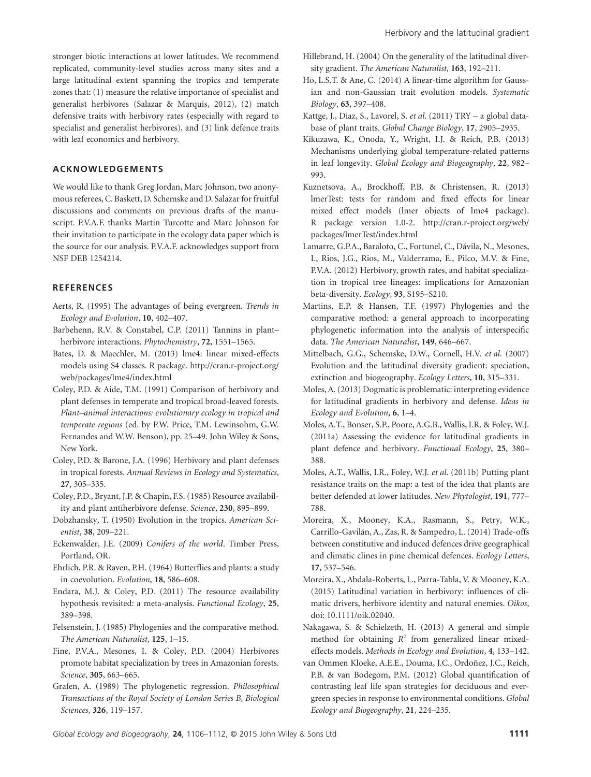stronger biotic interactions at lower latitudes. We recommend replicated, community-level studies across many sites and a large latitudinal extent spanning the tropics and temperate zones that: (1) measure the relative importance of specialist and generalist herbivores (Salazar & Marquis, 2012), (2) match defensive traits with herbivory rates (especially with regard to specialist and generalist herbivores), and (3) link defence traits with leaf economics and herbivory.

## **ACKNOWLEDGEMENTS**

We would like to thank Greg Jordan, Marc Johnson, two anonymous referees, C. Baskett, D. Schemske and D. Salazar for fruitful discussions and comments on previous drafts of the manuscript. P.V.A.F. thanks Martin Turcotte and Marc Johnson for their invitation to participate in the ecology data paper which is the source for our analysis. P.V.A.F. acknowledges support from NSF DEB 1254214.

#### **REFERENCES**

- Aerts, R. (1995) The advantages of being evergreen. *Trends in Ecology and Evolution*, **10**, 402–407.
- Barbehenn, R.V. & Constabel, C.P. (2011) Tannins in plant– herbivore interactions. *Phytochemistry*, **72**, 1551–1565.
- Bates, D. & Maechler, M. (2013) lme4: linear mixed-effects models using S4 classes. R package. http://cran.r-project.org/ web/packages/lme4/index.html
- Coley, P.D. & Aide, T.M. (1991) Comparison of herbivory and plant defenses in temperate and tropical broad-leaved forests. *Plant–animal interactions: evolutionary ecology in tropical and temperate regions* (ed. by P.W. Price, T.M. Lewinsohm, G.W. Fernandes and W.W. Benson), pp. 25–49. John Wiley & Sons, New York.
- Coley, P.D. & Barone, J.A. (1996) Herbivory and plant defenses in tropical forests. *Annual Reviews in Ecology and Systematics*, **27**, 305–335.
- Coley, P.D., Bryant, J.P. & Chapin, F.S. (1985) Resource availability and plant antiherbivore defense. *Science*, **230**, 895–899.
- Dobzhansky, T. (1950) Evolution in the tropics. *American Scientist*, **38**, 209–221.
- Eckenwalder, J.E. (2009) *Conifers of the world*. Timber Press, Portland, OR.
- Ehrlich, P.R. & Raven, P.H. (1964) Butterflies and plants: a study in coevolution. *Evolution*, **18**, 586–608.
- Endara, M.J. & Coley, P.D. (2011) The resource availability hypothesis revisited: a meta-analysis. *Functional Ecology*, **25**, 389–398.
- Felsenstein, J. (1985) Phylogenies and the comparative method. *The American Naturalist*, **125**, 1–15.
- Fine, P.V.A., Mesones, I. & Coley, P.D. (2004) Herbivores promote habitat specialization by trees in Amazonian forests. *Science*, **305**, 663–665.
- Grafen, A. (1989) The phylogenetic regression. *Philosophical Transactions of the Royal Society of London Series B, Biological Sciences*, **326**, 119–157.
- Hillebrand, H. (2004) On the generality of the latitudinal diversity gradient. *The American Naturalist*, **163**, 192–211.
- Ho, L.S.T. & Ane, C. (2014) A linear-time algorithm for Gaussian and non-Gaussian trait evolution models. *Systematic Biology*, **63**, 397–408.
- Kattge, J., Diaz, S., Lavorel, S. *et al*. (2011) TRY a global database of plant traits. *Global Change Biology*, **17**, 2905–2935.
- Kikuzawa, K., Onoda, Y., Wright, I.J. & Reich, P.B. (2013) Mechanisms underlying global temperature-related patterns in leaf longevity. *Global Ecology and Biogeography*, **22**, 982– 993.
- Kuznetsova, A., Brockhoff, P.B. & Christensen, R. (2013) lmerTest: tests for random and fixed effects for linear mixed effect models (lmer objects of lme4 package). R package version 1.0-2. http://cran.r-project.org/web/ packages/lmerTest/index.html
- Lamarre, G.P.A., Baraloto, C., Fortunel, C., Dávila, N., Mesones, I., Rios, J.G., Rios, M., Valderrama, E., Pilco, M.V. & Fine, P.V.A. (2012) Herbivory, growth rates, and habitat specialization in tropical tree lineages: implications for Amazonian beta-diversity. *Ecology*, **93**, S195–S210.
- Martins, E.P. & Hansen, T.F. (1997) Phylogenies and the comparative method: a general approach to incorporating phylogenetic information into the analysis of interspecific data. *The American Naturalist*, **149**, 646–667.
- Mittelbach, G.G., Schemske, D.W., Cornell, H.V. *et al*. (2007) Evolution and the latitudinal diversity gradient: speciation, extinction and biogeography. *Ecology Letters*, **10**, 315–331.
- Moles, A. (2013) Dogmatic is problematic: interpreting evidence for latitudinal gradients in herbivory and defense. *Ideas in Ecology and Evolution*, **6**, 1–4.
- Moles, A.T., Bonser, S.P., Poore, A.G.B., Wallis, I.R. & Foley, W.J. (2011a) Assessing the evidence for latitudinal gradients in plant defence and herbivory. *Functional Ecology*, **25**, 380– 388.
- Moles, A.T., Wallis, I.R., Foley, W.J. *et al*. (2011b) Putting plant resistance traits on the map: a test of the idea that plants are better defended at lower latitudes. *New Phytologist*, **191**, 777– 788.
- Moreira, X., Mooney, K.A., Rasmann, S., Petry, W.K., Carrillo-Gavilán, A., Zas, R. & Sampedro, L. (2014) Trade-offs between constitutive and induced defences drive geographical and climatic clines in pine chemical defences. *Ecology Letters*, **17**, 537–546.
- Moreira, X., Abdala-Roberts, L., Parra-Tabla, V. & Mooney, K.A. (2015) Latitudinal variation in herbivory: influences of climatic drivers, herbivore identity and natural enemies. *Oikos*, doi: 10.1111/oik.02040.
- Nakagawa, S. & Schielzeth, H. (2013) A general and simple method for obtaining  $R^2$  from generalized linear mixedeffects models. *Methods in Ecology and Evolution*, **4**, 133–142.
- van Ommen Kloeke, A.E.E., Douma, J.C., Ordoñez, J.C., Reich, P.B. & van Bodegom, P.M. (2012) Global quantification of contrasting leaf life span strategies for deciduous and evergreen species in response to environmental conditions. *Global Ecology and Biogeography*, **21**, 224–235.